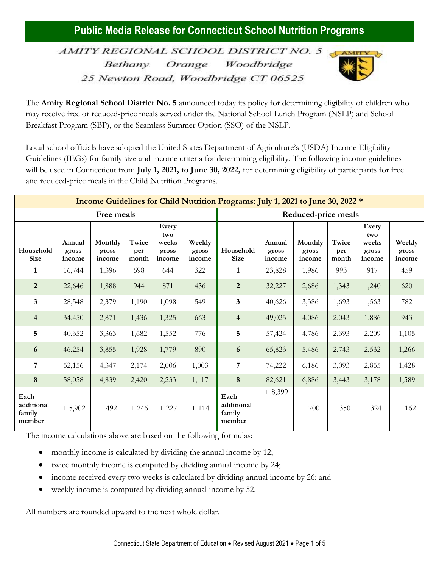AMITY REGIONAL SCHOOL DISTRICT NO. 5 Bethany Orange Woodbridge 25 Newton Road, Woodbridge CT 06525



The **Amity Regional School District No. 5** announced today its policy for determining eligibility of children who may receive free or reduced-price meals served under the National School Lunch Program (NSLP) and School Breakfast Program (SBP), or the Seamless Summer Option (SSO) of the NSLP.

Local school officials have adopted the United States Department of Agriculture's (USDA) Income Eligibility Guidelines (IEGs) for family size and income criteria for determining eligibility. The following income guidelines will be used in Connecticut from **July 1, 2021, to June 30, 2022,** for determining eligibility of participants for free and reduced-price meals in the Child Nutrition Programs.

| <b>Income Guidelines for Child Nutrition Programs: July 1, 2021 to June 30, 2022 *</b> |                           |                            |                       |                                          |                           |                                        |                           |                            |                       |                                          |                           |
|----------------------------------------------------------------------------------------|---------------------------|----------------------------|-----------------------|------------------------------------------|---------------------------|----------------------------------------|---------------------------|----------------------------|-----------------------|------------------------------------------|---------------------------|
| Free meals                                                                             |                           |                            |                       |                                          |                           | Reduced-price meals                    |                           |                            |                       |                                          |                           |
| Household<br><b>Size</b>                                                               | Annual<br>gross<br>income | Monthly<br>gross<br>income | Twice<br>per<br>month | Every<br>two<br>weeks<br>gross<br>income | Weekly<br>gross<br>income | Household<br><b>Size</b>               | Annual<br>gross<br>income | Monthly<br>gross<br>income | Twice<br>per<br>month | Every<br>two<br>weeks<br>gross<br>income | Weekly<br>gross<br>income |
| 1                                                                                      | 16,744                    | 1,396                      | 698                   | 644                                      | 322                       | 1                                      | 23,828                    | 1,986                      | 993                   | 917                                      | 459                       |
| $\overline{2}$                                                                         | 22,646                    | 1,888                      | 944                   | 871                                      | 436                       | $\overline{2}$                         | 32,227                    | 2,686                      | 1,343                 | 1,240                                    | 620                       |
| $\overline{\mathbf{3}}$                                                                | 28,548                    | 2,379                      | 1,190                 | 1,098                                    | 549                       | $\overline{3}$                         | 40,626                    | 3,386                      | 1,693                 | 1,563                                    | 782                       |
| $\overline{4}$                                                                         | 34,450                    | 2,871                      | 1,436                 | 1,325                                    | 663                       | $\overline{4}$                         | 49,025                    | 4,086                      | 2,043                 | 1,886                                    | 943                       |
| 5                                                                                      | 40,352                    | 3,363                      | 1,682                 | 1,552                                    | 776                       | 5                                      | 57,424                    | 4,786                      | 2,393                 | 2,209                                    | 1,105                     |
| 6                                                                                      | 46,254                    | 3,855                      | 1,928                 | 1,779                                    | 890                       | 6                                      | 65,823                    | 5,486                      | 2,743                 | 2,532                                    | 1,266                     |
| $\overline{7}$                                                                         | 52,156                    | 4,347                      | 2,174                 | 2,006                                    | 1,003                     | $\overline{7}$                         | 74,222                    | 6,186                      | 3,093                 | 2,855                                    | 1,428                     |
| 8                                                                                      | 58,058                    | 4,839                      | 2,420                 | 2,233                                    | 1,117                     | 8                                      | 82,621                    | 6,886                      | 3,443                 | 3,178                                    | 1,589                     |
| Each<br>additional<br>family<br>member                                                 | $+5,902$                  | $+492$                     | $+246$                | $+227$                                   | $+114$                    | Each<br>additional<br>family<br>member | $+8,399$                  | $+700$                     | $+350$                | $+324$                                   | $+162$                    |

The income calculations above are based on the following formulas:

- monthly income is calculated by dividing the annual income by 12;
- twice monthly income is computed by dividing annual income by 24;
- income received every two weeks is calculated by dividing annual income by 26; and
- weekly income is computed by dividing annual income by 52.

All numbers are rounded upward to the next whole dollar.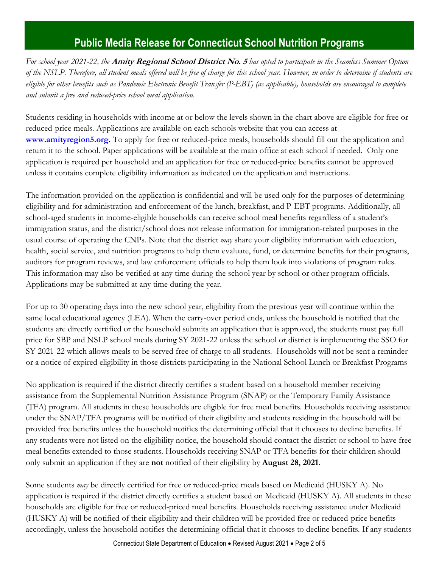*For school year 2021-22, the* **Amity Regional School District No. 5** *has opted to participate in the Seamless Summer Option of the NSLP. Therefore, all student meals offered will be free of charge for this school year. However, in order to determine if students are eligible for other benefits such as Pandemic Electronic Benefit Transfer (P-EBT) (as applicable), households are encouraged to complete and submit a free and reduced-price school meal application.* 

Students residing in households with income at or below the levels shown in the chart above are eligible for free or reduced-price meals. Applications are available on each schools website that you can access at **[www.amityregion5.org.](http://www.amityregion5.org/)** To apply for free or reduced-price meals, households should fill out the application and return it to the school. Paper applications will be available at the main office at each school if needed. Only one application is required per household and an application for free or reduced-price benefits cannot be approved unless it contains complete eligibility information as indicated on the application and instructions.

The information provided on the application is confidential and will be used only for the purposes of determining eligibility and for administration and enforcement of the lunch, breakfast, and P-EBT programs. Additionally, all school-aged students in income-eligible households can receive school meal benefits regardless of a student's immigration status, and the district/school does not release information for immigration-related purposes in the usual course of operating the CNPs. Note that the district *may* share your eligibility information with education, health, social service, and nutrition programs to help them evaluate, fund, or determine benefits for their programs, auditors for program reviews, and law enforcement officials to help them look into violations of program rules. This information may also be verified at any time during the school year by school or other program officials. Applications may be submitted at any time during the year.

For up to 30 operating days into the new school year, eligibility from the previous year will continue within the same local educational agency (LEA). When the carry-over period ends, unless the household is notified that the students are directly certified or the household submits an application that is approved, the students must pay full price for SBP and NSLP school meals during SY 2021-22 unless the school or district is implementing the SSO for SY 2021-22 which allows meals to be served free of charge to all students. Households will not be sent a reminder or a notice of expired eligibility in those districts participating in the National School Lunch or Breakfast Programs

No application is required if the district directly certifies a student based on a household member receiving assistance from the Supplemental Nutrition Assistance Program (SNAP) or the Temporary Family Assistance (TFA) program. All students in these households are eligible for free meal benefits. Households receiving assistance under the SNAP/TFA programs will be notified of their eligibility and students residing in the household will be provided free benefits unless the household notifies the determining official that it chooses to decline benefits. If any students were not listed on the eligibility notice, the household should contact the district or school to have free meal benefits extended to those students. Households receiving SNAP or TFA benefits for their children should only submit an application if they are **not** notified of their eligibility by **August 28, 2021**.

Some students *may* be directly certified for free or reduced-price meals based on Medicaid (HUSKY A). No application is required if the district directly certifies a student based on Medicaid (HUSKY A). All students in these households are eligible for free or reduced-priced meal benefits. Households receiving assistance under Medicaid (HUSKY A) will be notified of their eligibility and their children will be provided free or reduced-price benefits accordingly, unless the household notifies the determining official that it chooses to decline benefits. If any students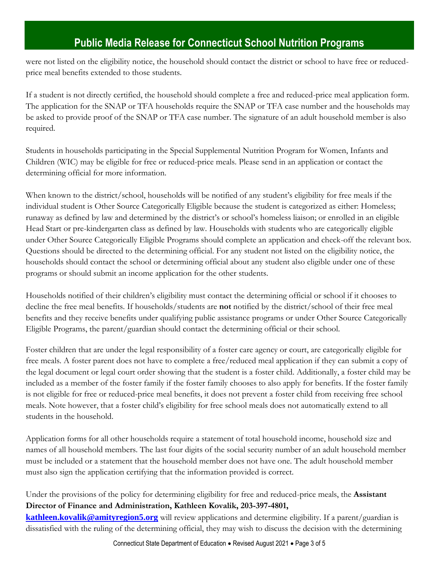were not listed on the eligibility notice, the household should contact the district or school to have free or reducedprice meal benefits extended to those students.

If a student is not directly certified, the household should complete a free and reduced-price meal application form. The application for the SNAP or TFA households require the SNAP or TFA case number and the households may be asked to provide proof of the SNAP or TFA case number. The signature of an adult household member is also required.

Students in households participating in the Special Supplemental Nutrition Program for Women, Infants and Children (WIC) may be eligible for free or reduced-price meals. Please send in an application or contact the determining official for more information.

When known to the district/school, households will be notified of any student's eligibility for free meals if the individual student is Other Source Categorically Eligible because the student is categorized as either: Homeless; runaway as defined by law and determined by the district's or school's homeless liaison; or enrolled in an eligible Head Start or pre-kindergarten class as defined by law. Households with students who are categorically eligible under Other Source Categorically Eligible Programs should complete an application and check-off the relevant box. Questions should be directed to the determining official. For any student not listed on the eligibility notice, the households should contact the school or determining official about any student also eligible under one of these programs or should submit an income application for the other students.

Households notified of their children's eligibility must contact the determining official or school if it chooses to decline the free meal benefits. If households/students are **not** notified by the district/school of their free meal benefits and they receive benefits under qualifying public assistance programs or under Other Source Categorically Eligible Programs, the parent/guardian should contact the determining official or their school.

Foster children that are under the legal responsibility of a foster care agency or court, are categorically eligible for free meals. A foster parent does not have to complete a free/reduced meal application if they can submit a copy of the legal document or legal court order showing that the student is a foster child. Additionally, a foster child may be included as a member of the foster family if the foster family chooses to also apply for benefits. If the foster family is not eligible for free or reduced-price meal benefits, it does not prevent a foster child from receiving free school meals. Note however, that a foster child's eligibility for free school meals does not automatically extend to all students in the household.

Application forms for all other households require a statement of total household income, household size and names of all household members. The last four digits of the social security number of an adult household member must be included or a statement that the household member does not have one. The adult household member must also sign the application certifying that the information provided is correct.

Under the provisions of the policy for determining eligibility for free and reduced-price meals, the **Assistant Director of Finance and Administration, Kathleen Kovalik, 203-397-4801,** 

**[kathleen.kovalik@amityregion5.org](mailto:kathleen.kovalik@amityregion5.org)** will review applications and determine eligibility. If a parent/guardian is dissatisfied with the ruling of the determining official, they may wish to discuss the decision with the determining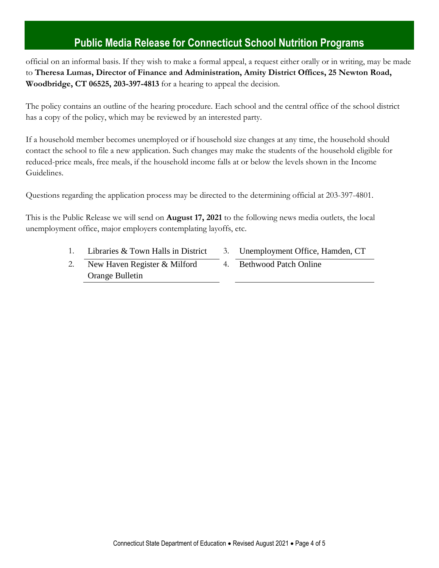official on an informal basis. If they wish to make a formal appeal, a request either orally or in writing, may be made to **Theresa Lumas, Director of Finance and Administration, Amity District Offices, 25 Newton Road, Woodbridge, CT 06525, 203-397-4813** for a hearing to appeal the decision.

The policy contains an outline of the hearing procedure. Each school and the central office of the school district has a copy of the policy, which may be reviewed by an interested party.

If a household member becomes unemployed or if household size changes at any time, the household should contact the school to file a new application. Such changes may make the students of the household eligible for reduced-price meals, free meals, if the household income falls at or below the levels shown in the Income Guidelines.

Questions regarding the application process may be directed to the determining official at 203-397-4801.

This is the Public Release we will send on **August 17, 2021** to the following news media outlets, the local unemployment office, major employers contemplating layoffs, etc.

- 1. Libraries & Town Halls in District 3. Unemployment Office, Hamden, CT
	-
- 2. New Haven Register & Milford Orange Bulletin
- 4. Bethwood Patch Online